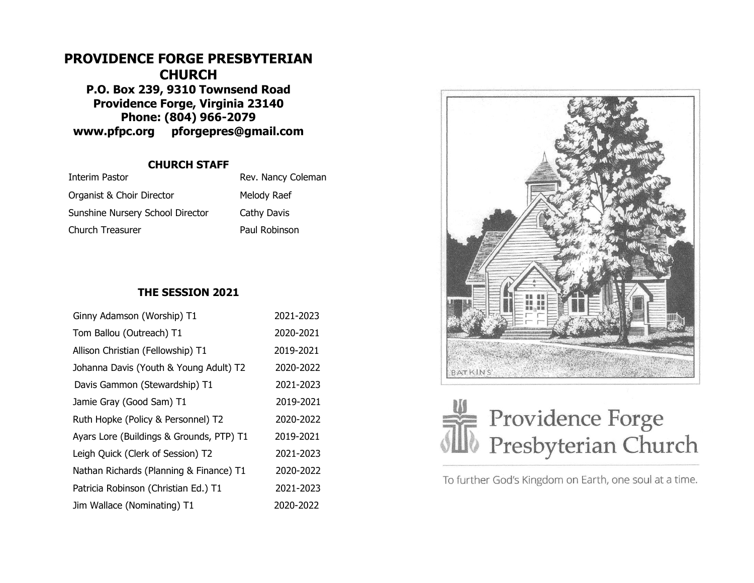# **PROVIDENCE FORGE PRESBYTERIAN CHURCH P.O. Box 239, 9310 Townsend Road Providence Forge, Virginia 23140 Phone: (804) 966-2079 www.pfpc.org pforgepres@gmail.com**

### **CHURCH STAFF**

| Interim Pastor                   | Rev. Nancy Coleman |
|----------------------------------|--------------------|
| Organist & Choir Director        | Melody Raef        |
| Sunshine Nursery School Director | Cathy Davis        |
| Church Treasurer                 | Paul Robinson      |

## **THE SESSION 2021**

| Ginny Adamson (Worship) T1               | 2021-2023 |
|------------------------------------------|-----------|
| Tom Ballou (Outreach) T1                 | 2020-2021 |
| Allison Christian (Fellowship) T1        | 2019-2021 |
| Johanna Davis (Youth & Young Adult) T2   | 2020-2022 |
| Davis Gammon (Stewardship) T1            | 2021-2023 |
| Jamie Gray (Good Sam) T1                 | 2019-2021 |
| Ruth Hopke (Policy & Personnel) T2       | 2020-2022 |
| Ayars Lore (Buildings & Grounds, PTP) T1 | 2019-2021 |
| Leigh Quick (Clerk of Session) T2        | 2021-2023 |
| Nathan Richards (Planning & Finance) T1  | 2020-2022 |
| Patricia Robinson (Christian Ed.) T1     | 2021-2023 |
| Jim Wallace (Nominating) T1              | 2020-2022 |





To further God's Kingdom on Earth, one soul at a time.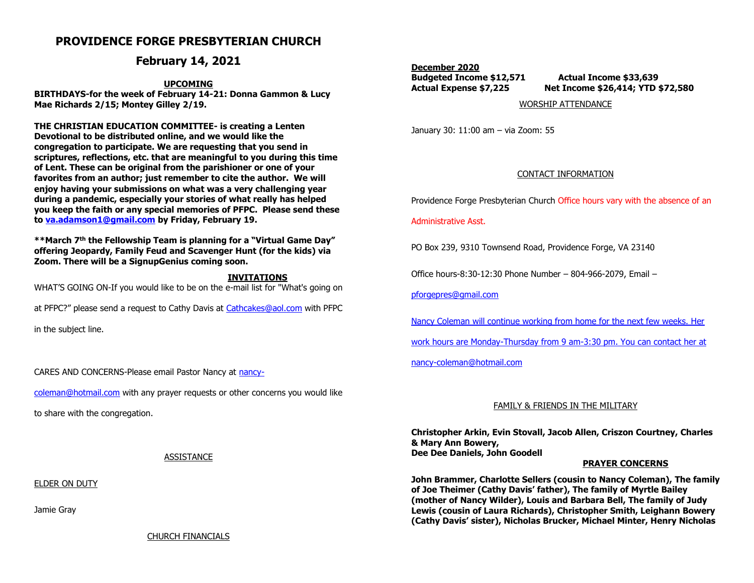# **PROVIDENCE FORGE PRESBYTERIAN CHURCH**

## **February 14, 2021**

#### **UPCOMING**

**BIRTHDAYS-for the week of February 14-21: Donna Gammon & Lucy Mae Richards 2/15; Montey Gilley 2/19.**

**THE CHRISTIAN EDUCATION COMMITTEE- is creating a Lenten Devotional to be distributed online, and we would like the congregation to participate. We are requesting that you send in scriptures, reflections, etc. that are meaningful to you during this time of Lent. These can be original from the parishioner or one of your favorites from an author; just remember to cite the author. We will enjoy having your submissions on what was a very challenging year during a pandemic, especially your stories of what really has helped you keep the faith or any special memories of PFPC. Please send these to [va.adamson1@gmail.com](mailto:va.adamson1@gmail.com) by Friday, February 19.** 

**\*\*March 7th the Fellowship Team is planning for a "Virtual Game Day" offering Jeopardy, Family Feud and Scavenger Hunt (for the kids) via Zoom. There will be a SignupGenius coming soon.** 

#### **INVITATIONS**

WHAT'S GOING ON-If you would like to be on the e-mail list for "What's going on

at PFPC?" please send a request to Cathy Davis at [Cathcakes@aol.com](mailto:Cathcakes@aol.com) with PFPC

in the subject line.

CARES AND CONCERNS-Please email Pastor Nancy at [nancy-](mailto:nancy-coleman@hotmail.com)

[coleman@hotmail.com](mailto:nancy-coleman@hotmail.com) with any prayer requests or other concerns you would like

to share with the congregation.

#### ASSISTANCE

ELDER ON DUTY

Jamie Gray

**December 2020 Budgeted Income \$12,571 Actual Income \$33,639 Actual Expense \$7,225 Net Income \$26,414; YTD \$72,580**

WORSHIP ATTENDANCE

January 30: 11:00 am – via Zoom: 55

#### CONTACT INFORMATION

Providence Forge Presbyterian Church Office hours vary with the absence of an

#### Administrative Asst.

PO Box 239, 9310 Townsend Road, Providence Forge, VA 23140

Office hours-8:30-12:30 Phone Number – 804-966-2079, Email –

[pforgepres@gmail.com](mailto:pforgepres@gmail.com)

Nancy Coleman will continue working from home for the next few weeks. Her

work hours are Monday-Thursday from 9 am-3:30 pm. You can contact her at

[nancy-coleman@hotmail.com](mailto:nancy-coleman@hotmail.com)

#### FAMILY & FRIENDS IN THE MILITARY

**Christopher Arkin, Evin Stovall, Jacob Allen, Criszon Courtney, Charles & Mary Ann Bowery, Dee Dee Daniels, John Goodell** 

#### **PRAYER CONCERNS**

**John Brammer, Charlotte Sellers (cousin to Nancy Coleman), The family of Joe Theimer (Cathy Davis' father), The family of Myrtle Bailey (mother of Nancy Wilder), Louis and Barbara Bell, The family of Judy Lewis (cousin of Laura Richards), Christopher Smith, Leighann Bowery (Cathy Davis' sister), Nicholas Brucker, Michael Minter, Henry Nicholas**

CHURCH FINANCIALS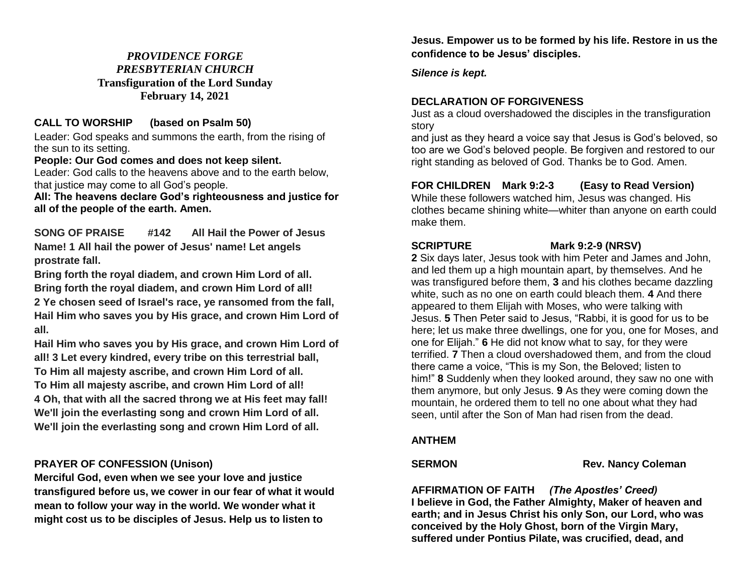# *PROVIDENCE FORGE PRESBYTERIAN CHURCH*  **Transfiguration of the Lord Sunday February 14, 2021**

# **CALL TO WORSHIP (based on Psalm 50)**

Leader: God speaks and summons the earth, from the rising of the sun to its setting.

#### **People: Our God comes and does not keep silent.**

Leader: God calls to the heavens above and to the earth below, that justice may come to all God's people.

**All: The heavens declare God's righteousness and justice for all of the people of the earth. Amen.**

**SONG OF PRAISE #142 All Hail the Power of Jesus Name! 1 All hail the power of Jesus' name! Let angels prostrate fall.**

**Bring forth the royal diadem, and crown Him Lord of all. Bring forth the royal diadem, and crown Him Lord of all! 2 Ye chosen seed of Israel's race, ye ransomed from the fall, Hail Him who saves you by His grace, and crown Him Lord of all.**

**Hail Him who saves you by His grace, and crown Him Lord of all! 3 Let every kindred, every tribe on this terrestrial ball, To Him all majesty ascribe, and crown Him Lord of all. To Him all majesty ascribe, and crown Him Lord of all! 4 Oh, that with all the sacred throng we at His feet may fall! We'll join the everlasting song and crown Him Lord of all. We'll join the everlasting song and crown Him Lord of all.**

# **PRAYER OF CONFESSION (Unison)**

**Merciful God, even when we see your love and justice transfigured before us, we cower in our fear of what it would mean to follow your way in the world. We wonder what it might cost us to be disciples of Jesus. Help us to listen to** 

**Jesus. Empower us to be formed by his life. Restore in us the confidence to be Jesus' disciples.** 

*Silence is kept.*

# **DECLARATION OF FORGIVENESS**

Just as a cloud overshadowed the disciples in the transfiguration story

and just as they heard a voice say that Jesus is God's beloved, so too are we God's beloved people. Be forgiven and restored to our right standing as beloved of God. Thanks be to God. Amen.

# **FOR CHILDREN Mark 9:2-3 (Easy to Read Version)**

While these followers watched him, Jesus was changed. His clothes became shining white—whiter than anyone on earth could make them.

## **SCRIPTURE Mark 9:2-9 (NRSV)**

**2** Six days later, Jesus took with him Peter and James and John, and led them up a high mountain apart, by themselves. And he was transfigured before them, **3** and his clothes became dazzling white, such as no one on earth could bleach them. **4** And there appeared to them Elijah with Moses, who were talking with Jesus. **5** Then Peter said to Jesus, "Rabbi, it is good for us to be here; let us make three dwellings, one for you, one for Moses, and one for Elijah." **6** He did not know what to say, for they were terrified. **7** Then a cloud overshadowed them, and from the cloud there came a voice, "This is my Son, the Beloved; listen to him!" **8** Suddenly when they looked around, they saw no one with them anymore, but only Jesus. **9** As they were coming down the mountain, he ordered them to tell no one about what they had seen, until after the Son of Man had risen from the dead.

# **ANTHEM**

# **SERMON Rev. Nancy Coleman**

**AFFIRMATION OF FAITH** *(The Apostles' Creed)* **I believe in God, the Father Almighty, Maker of heaven and earth; and in Jesus Christ his only Son, our Lord, who was conceived by the Holy Ghost, born of the Virgin Mary, suffered under Pontius Pilate, was crucified, dead, and**